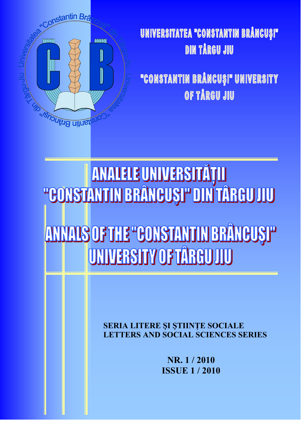

## UNIVERSITATEA "CONSTANTIN BRÂNCUȘI" **DIN TÅRGU JIU**

"CONSTANTIN BRÂNCUȘI" UNIVERSITY OF TÅRGU JIU

ANNALS OF THE "CONSTANTIN BRÂNGUSI" UNIVERSITY OF TARGUJIU

> SERIA LITERE ȘI ȘTIINȚE SOCIALE **LETTERS AND SOCIAL SCIENCES SERIES**

> > NR. 1/2010 **ISSUE 1/2010**